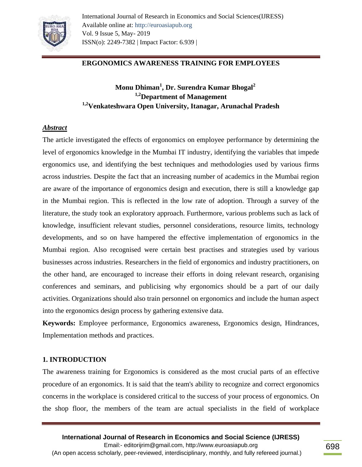

# **ERGONOMICS AWARENESS TRAINING FOR EMPLOYEES**

# **Monu Dhiman<sup>1</sup> , Dr. Surendra Kumar Bhogal<sup>2</sup> 1,2Department of Management 1,2Venkateshwara Open University, Itanagar, Arunachal Pradesh**

### *Abstract*

The article investigated the effects of ergonomics on employee performance by determining the level of ergonomics knowledge in the Mumbai IT industry, identifying the variables that impede ergonomics use, and identifying the best techniques and methodologies used by various firms across industries. Despite the fact that an increasing number of academics in the Mumbai region are aware of the importance of ergonomics design and execution, there is still a knowledge gap in the Mumbai region. This is reflected in the low rate of adoption. Through a survey of the literature, the study took an exploratory approach. Furthermore, various problems such as lack of knowledge, insufficient relevant studies, personnel considerations, resource limits, technology developments, and so on have hampered the effective implementation of ergonomics in the Mumbai region. Also recognised were certain best practises and strategies used by various businesses across industries. Researchers in the field of ergonomics and industry practitioners, on the other hand, are encouraged to increase their efforts in doing relevant research, organising conferences and seminars, and publicising why ergonomics should be a part of our daily activities. Organizations should also train personnel on ergonomics and include the human aspect into the ergonomics design process by gathering extensive data.

**Keywords:** Employee performance, Ergonomics awareness, Ergonomics design, Hindrances, Implementation methods and practices.

#### **1. INTRODUCTION**

The awareness training for Ergonomics is considered as the most crucial parts of an effective procedure of an ergonomics. It is said that the team's ability to recognize and correct ergonomics concerns in the workplace is considered critical to the success of your process of ergonomics. On the shop floor, the members of the team are actual specialists in the field of workplace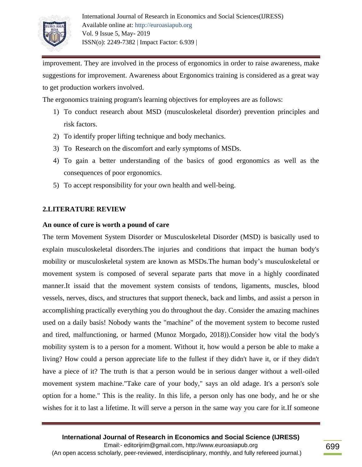

improvement. They are involved in the process of ergonomics in order to raise awareness, make suggestions for improvement. Awareness about Ergonomics training is considered as a great way to get production workers involved.

The ergonomics training program's learning objectives for employees are as follows:

- 1) To conduct research about MSD (musculoskeletal disorder) prevention principles and risk factors.
- 2) To identify proper lifting technique and body mechanics.
- 3) To Research on the discomfort and early symptoms of MSDs.
- 4) To gain a better understanding of the basics of good ergonomics as well as the consequences of poor ergonomics.
- 5) To accept responsibility for your own health and well-being.

# **2.LITERATURE REVIEW**

### **An ounce of cure is worth a pound of care**

The term Movement System Disorder or Musculoskeletal Disorder (MSD) is basically used to explain musculoskeletal disorders.The injuries and conditions that impact the human body's mobility or musculoskeletal system are known as MSDs.The human body's musculoskeletal or movement system is composed of several separate parts that move in a highly coordinated manner.It issaid that the movement system consists of tendons, ligaments, muscles, blood vessels, nerves, discs, and structures that support theneck, back and limbs, and assist a person in accomplishing practically everything you do throughout the day. Consider the amazing machines used on a daily basis! Nobody wants the "machine" of the movement system to become rusted and tired, malfunctioning, or harmed (Munoz Morgado, 2018)).Consider how vital the body's mobility system is to a person for a moment. Without it, how would a person be able to make a living? How could a person appreciate life to the fullest if they didn't have it, or if they didn't have a piece of it? The truth is that a person would be in serious danger without a well-oiled movement system machine."Take care of your body," says an old adage. It's a person's sole option for a home." This is the reality. In this life, a person only has one body, and he or she wishes for it to last a lifetime. It will serve a person in the same way you care for it.If someone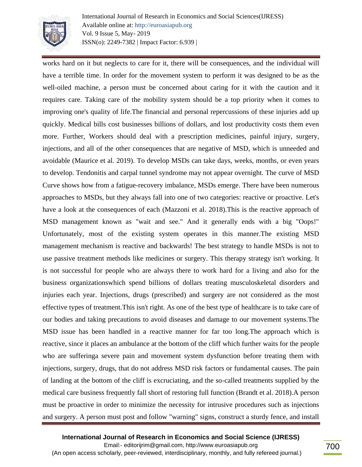

International Journal of Research in Economics and Social Sciences(IJRESS) Available online at: http://euroasiapub.org Vol. 9 Issue 5, May- 2019 ISSN(o): 2249-7382 | Impact Factor: 6.939 |

works hard on it but neglects to care for it, there will be consequences, and the individual will have a terrible time. In order for the movement system to perform it was designed to be as the well-oiled machine, a person must be concerned about caring for it with the caution and it requires care. Taking care of the mobility system should be a top priority when it comes to improving one's quality of life.The financial and personal repercussions of these injuries add up quickly. Medical bills cost businesses billions of dollars, and lost productivity costs them even more. Further, Workers should deal with a prescription medicines, painful injury, surgery, injections, and all of the other consequences that are negative of MSD, which is unneeded and avoidable (Maurice et al. 2019). To develop MSDs can take days, weeks, months, or even years to develop. Tendonitis and carpal tunnel syndrome may not appear overnight. The curve of MSD Curve shows how from a fatigue-recovery imbalance, MSDs emerge. There have been numerous approaches to MSDs, but they always fall into one of two categories: reactive or proactive. Let's have a look at the consequences of each (Mazzoni et al. 2018).This is the reactive approach of MSD management known as "wait and see." And it generally ends with a big "Oops!" Unfortunately, most of the existing system operates in this manner.The existing MSD management mechanism is reactive and backwards! The best strategy to handle MSDs is not to use passive treatment methods like medicines or surgery. This therapy strategy isn't working. It is not successful for people who are always there to work hard for a living and also for the business organizationswhich spend billions of dollars treating musculoskeletal disorders and injuries each year. Injections, drugs (prescribed) and surgery are not considered as the most effective types of treatment.This isn't right. As one of the best type of healthcare is to take care of our bodies and taking precautions to avoid diseases and damage to our movement systems.The MSD issue has been handled in a reactive manner for far too long.The approach which is reactive, since it places an ambulance at the bottom of the cliff which further waits for the people who are sufferinga severe pain and movement system dysfunction before treating them with injections, surgery, drugs, that do not address MSD risk factors or fundamental causes. The pain of landing at the bottom of the cliff is excruciating, and the so-called treatments supplied by the medical care business frequently fall short of restoring full function (Brandt et al. 2018).A person must be proactive in order to minimize the necessity for intrusive procedures such as injections and surgery. A person must post and follow "warning" signs, construct a sturdy fence, and install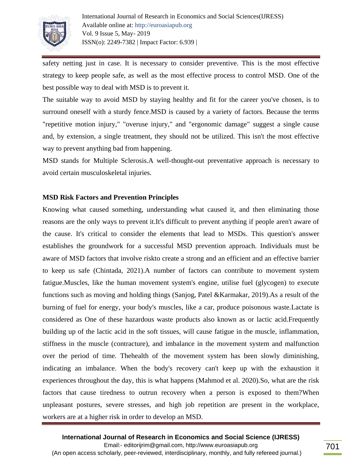

safety netting just in case. It is necessary to consider preventive. This is the most effective strategy to keep people safe, as well as the most effective process to control MSD. One of the best possible way to deal with MSD is to prevent it.

The suitable way to avoid MSD by staying healthy and fit for the career you've chosen, is to surround oneself with a sturdy fence.MSD is caused by a variety of factors. Because the terms "repetitive motion injury," "overuse injury," and "ergonomic damage" suggest a single cause and, by extension, a single treatment, they should not be utilized. This isn't the most effective way to prevent anything bad from happening.

MSD stands for Multiple Sclerosis.A well-thought-out preventative approach is necessary to avoid certain musculoskeletal injuries.

### **MSD Risk Factors and Prevention Principles**

Knowing what caused something, understanding what caused it, and then eliminating those reasons are the only ways to prevent it.It's difficult to prevent anything if people aren't aware of the cause. It's critical to consider the elements that lead to MSDs. This question's answer establishes the groundwork for a successful MSD prevention approach. Individuals must be aware of MSD factors that involve riskto create a strong and an efficient and an effective barrier to keep us safe (Chintada, 2021).A number of factors can contribute to movement system fatigue.Muscles, like the human movement system's engine, utilise fuel (glycogen) to execute functions such as moving and holding things (Sanjog, Patel &Karmakar, 2019).As a result of the burning of fuel for energy, your body's muscles, like a car, produce poisonous waste.Lactate is considered as One of these hazardous waste products also known as or lactic acid.Frequently building up of the lactic acid in the soft tissues, will cause fatigue in the muscle, inflammation, stiffness in the muscle (contracture), and imbalance in the movement system and malfunction over the period of time. Thehealth of the movement system has been slowly diminishing, indicating an imbalance. When the body's recovery can't keep up with the exhaustion it experiences throughout the day, this is what happens (Mahmod et al. 2020).So, what are the risk factors that cause tiredness to outrun recovery when a person is exposed to them?When unpleasant postures, severe stresses, and high job repetition are present in the workplace, workers are at a higher risk in order to develop an MSD.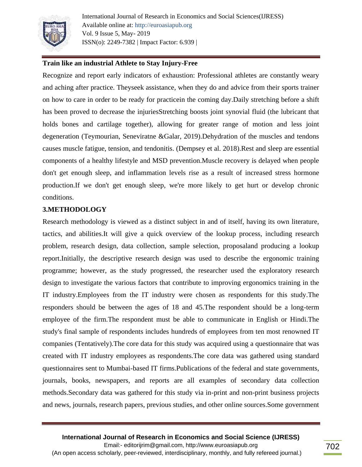

International Journal of Research in Economics and Social Sciences(IJRESS) Available online at: http://euroasiapub.org Vol. 9 Issue 5, May- 2019 ISSN(o): 2249-7382 | Impact Factor: 6.939 |

## **Train like an industrial Athlete to Stay Injury-Free**

Recognize and report early indicators of exhaustion: Professional athletes are constantly weary and aching after practice. Theyseek assistance, when they do and advice from their sports trainer on how to care in order to be ready for practicein the coming day.Daily stretching before a shift has been proved to decrease the injuriesStretching boosts joint synovial fluid (the lubricant that holds bones and cartilage together), allowing for greater range of motion and less joint degeneration (Teymourian, Seneviratne &Galar, 2019).Dehydration of the muscles and tendons causes muscle fatigue, tension, and tendonitis. (Dempsey et al. 2018).Rest and sleep are essential components of a healthy lifestyle and MSD prevention.Muscle recovery is delayed when people don't get enough sleep, and inflammation levels rise as a result of increased stress hormone production.If we don't get enough sleep, we're more likely to get hurt or develop chronic conditions.

### **3.METHODOLOGY**

Research methodology is viewed as a distinct subject in and of itself, having its own literature, tactics, and abilities.It will give a quick overview of the lookup process, including research problem, research design, data collection, sample selection, proposaland producing a lookup report.Initially, the descriptive research design was used to describe the ergonomic training programme; however, as the study progressed, the researcher used the exploratory research design to investigate the various factors that contribute to improving ergonomics training in the IT industry.Employees from the IT industry were chosen as respondents for this study.The responders should be between the ages of 18 and 45.The respondent should be a long-term employee of the firm.The respondent must be able to communicate in English or Hindi.The study's final sample of respondents includes hundreds of employees from ten most renowned IT companies (Tentatively).The core data for this study was acquired using a questionnaire that was created with IT industry employees as respondents.The core data was gathered using standard questionnaires sent to Mumbai-based IT firms.Publications of the federal and state governments, journals, books, newspapers, and reports are all examples of secondary data collection methods.Secondary data was gathered for this study via in-print and non-print business projects and news, journals, research papers, previous studies, and other online sources.Some government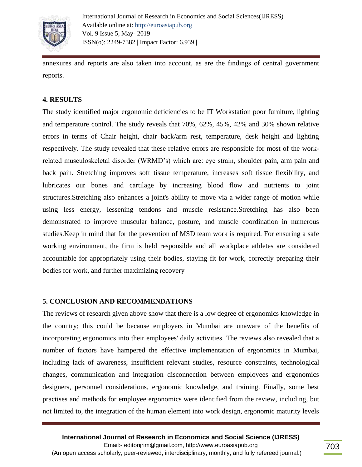

annexures and reports are also taken into account, as are the findings of central government reports.

#### **4. RESULTS**

The study identified major ergonomic deficiencies to be IT Workstation poor furniture, lighting and temperature control. The study reveals that 70%, 62%, 45%, 42% and 30% shown relative errors in terms of Chair height, chair back/arm rest, temperature, desk height and lighting respectively. The study revealed that these relative errors are responsible for most of the workrelated musculoskeletal disorder (WRMD's) which are: eye strain, shoulder pain, arm pain and back pain. Stretching improves soft tissue temperature, increases soft tissue flexibility, and lubricates our bones and cartilage by increasing blood flow and nutrients to joint structures.Stretching also enhances a joint's ability to move via a wider range of motion while using less energy, lessening tendons and muscle resistance.Stretching has also been demonstrated to improve muscular balance, posture, and muscle coordination in numerous studies.Keep in mind that for the prevention of MSD team work is required. For ensuring a safe working environment, the firm is held responsible and all workplace athletes are considered accountable for appropriately using their bodies, staying fit for work, correctly preparing their bodies for work, and further maximizing recovery

#### **5. CONCLUSION AND RECOMMENDATIONS**

The reviews of research given above show that there is a low degree of ergonomics knowledge in the country; this could be because employers in Mumbai are unaware of the benefits of incorporating ergonomics into their employees' daily activities. The reviews also revealed that a number of factors have hampered the effective implementation of ergonomics in Mumbai, including lack of awareness, insufficient relevant studies, resource constraints, technological changes, communication and integration disconnection between employees and ergonomics designers, personnel considerations, ergonomic knowledge, and training. Finally, some best practises and methods for employee ergonomics were identified from the review, including, but not limited to, the integration of the human element into work design, ergonomic maturity levels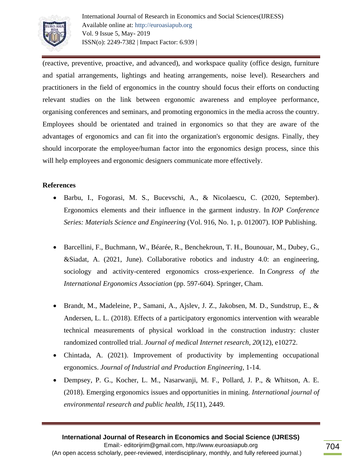

International Journal of Research in Economics and Social Sciences(IJRESS) Available online at: http://euroasiapub.org Vol. 9 Issue 5, May- 2019 ISSN(o): 2249-7382 | Impact Factor: 6.939 |

(reactive, preventive, proactive, and advanced), and workspace quality (office design, furniture and spatial arrangements, lightings and heating arrangements, noise level). Researchers and practitioners in the field of ergonomics in the country should focus their efforts on conducting relevant studies on the link between ergonomic awareness and employee performance, organising conferences and seminars, and promoting ergonomics in the media across the country. Employees should be orientated and trained in ergonomics so that they are aware of the advantages of ergonomics and can fit into the organization's ergonomic designs. Finally, they should incorporate the employee/human factor into the ergonomics design process, since this will help employees and ergonomic designers communicate more effectively.

# **References**

- Barbu, I., Fogorasi, M. S., Bucevschi, A., & Nicolaescu, C. (2020, September). Ergonomics elements and their influence in the garment industry. In *IOP Conference Series: Materials Science and Engineering* (Vol. 916, No. 1, p. 012007). IOP Publishing.
- Barcellini, F., Buchmann, W., Béarée, R., Benchekroun, T. H., Bounouar, M., Dubey, G., &Siadat, A. (2021, June). Collaborative robotics and industry 4.0: an engineering, sociology and activity-centered ergonomics cross-experience. In *Congress of the International Ergonomics Association* (pp. 597-604). Springer, Cham.
- **Brandt, M., Madeleine, P., Samani, A., Ajslev, J. Z., Jakobsen, M. D., Sundstrup, E., &** Andersen, L. L. (2018). Effects of a participatory ergonomics intervention with wearable technical measurements of physical workload in the construction industry: cluster randomized controlled trial. *Journal of medical Internet research*, *20*(12), e10272.
- Chintada, A. (2021). Improvement of productivity by implementing occupational ergonomics. *Journal of Industrial and Production Engineering*, 1-14.
- Dempsey, P. G., Kocher, L. M., Nasarwanji, M. F., Pollard, J. P., & Whitson, A. E. (2018). Emerging ergonomics issues and opportunities in mining. *International journal of environmental research and public health*, *15*(11), 2449.